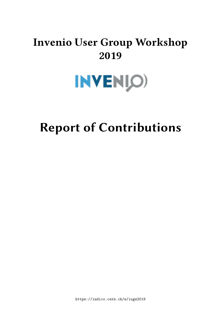## **Invenio User Group Workshop 2019**



# **Report of Contributions**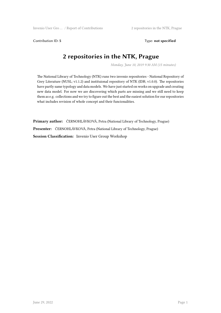Contribution ID: 5 Type: **not specified** 

#### **2 repositories in the NTK, Prague**

*Monday, June 10, 2019 9:30 AM (15 minutes)*

The National Library of Technology (NTK) runs two invenio repositories - National Repository of Grey Literature (NUSL; v1.1.2) and instituional repository of NTK (IDR; v1.0.0). The repositories have partly same typology and data models. We have just started on works on upgrade and creating new data model. For now we are discovering which parts are missing and we still need to keep them as e.g. collections and we try to figure out the best and the easiest solution for our repositories what includes revision of whole concept and their funcionalities.

**Primary author:** ČERNOHLÁVKOVÁ, Petra (National Library of Technology, Prague) **Presenter:** ČERNOHLÁVKOVÁ, Petra (National Library of Technology, Prague) **Session Classification:** Invenio User Group Workshop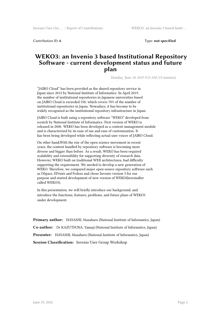Contribution ID: **6** Type: **not specified**

#### **WEKO3: an Invenio 3 based Institutional Repository Software - current development status and future plan**

*Monday, June 10, 2019 9:15 AM (15 minutes)*

"JAIRO Cloud" has been provided as the shared repository service in Japan since 2012 by National Institute of Informatics. In April 2019, the number of institutional repositories in Japanese universities based on JAIRO Cloud is exceeded 558, which covers 70% of the number of institutional repositories in Japan. Nowadays, it has become to be widely recognized as the institutional repository infrastructure in Japan.

JAIRO Cloud is built using a repository software "WEKO" developed from scratch by National Institute of Informatics. First version of WEKO is released in 2008. WEKO has been developed as a content management module and is characterized by its ease of use and ease of customization. It has been being developed while reflecting actual user voices of JAIRO Cloud.

On other hand,With the rise of the open science movement in recent years, the content handled by repository software is becoming more diverse and bigger than before. As a result, WEKO has been required scalability and extensibility for supporting diversity of research data. However, WEKO built on traditional WEB architectures, had difficulty supporting the requirement. We needed to develop a new generation of WEKO. Therefore, we compared major open source repository software such as DSpace, EPrints and Fedora and chose Invenio version 3 for our purpose and started development of new version of WEKO(hereinafter called WEKO3).

In this presentation, we will briefly introduce our background, and introduce the functions, features, problems, and future plans of WEKO3 under development.

**Primary author:** HAYASHI, Masaharu (National Institute of Informatics, Japan) **Co-author:** Dr KAZUTSUNA, Yamaji (National Institute of Informatics, Japan) **Presenter:** HAYASHI, Masaharu (National Institute of Informatics, Japan) **Session Classification:** Invenio User Group Workshop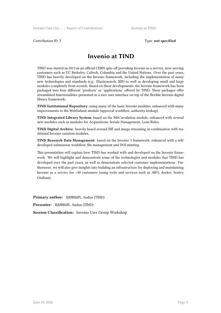Contribution ID: **7** Type: **not specified**

#### **Invenio at TIND**

TIND was started in 2013 as an official CERN spin-off providing Invenio as a service, now serving customers such as UC Berkeley, Caltech, Columbia and the United Nations. Over the past years, TIND has heavily developed on the Invenio framework, including the implementation of many new technologies and standards (e.g. Elasticsearch, IIIF) as well as developing small and large modules completely from scratch. Based on these developments, the Invenio framework has been packaged into four different 'products' or 'applications' offered by TIND. These packages offer streamlined functionalities presented in a nice user interface on top of the flexible Invenio digital library framework:

**TIND Institutional Repository**: using many of the basic Invenio modules, enhanced with many improvements to the WebSubmit module (approval workflow, authority lookup).

**TIND Integrated Library System**: based on the BibCirculation module, enhanced with several new modules such as modules for Acquisitions, Serials Management, Loan Rules.

**TIND Digital Archive**: heavily based around IIIF and image streaming in combination with traditional Invenio curation modules.

**TIND Research Data Management**: based on the Invenio 3 framework, enhanced with a selfdeveloped submission workflow, file management and DOI minting.

This presentation will explain how TIND has worked with and developed on the Invenio framework. We will highlight and demonstrate some of the technologies and modules that TIND has developed over the past years, as well as demonstrate selected customer implementations. Furthermore, we will also give insights into building an infrastructure for deploying and maintaining Invenio as a service for +30 customers (using tools and services such as AWS, docker, Sentry, Grafana).

**Primary author:** BJØRKØY, Audun (TIND)

**Presenter:** BJØRKØY, Audun (TIND)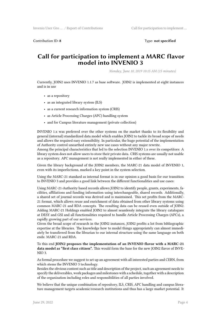Contribution ID: **8** Type: **not specified**

#### **Call for participation to implement a MARC flavor model into INVENIO 3**

*Monday, June 10, 2019 10:15 AM (15 minutes)*

Currently, JOIN2 uses INVENIO 1.1.7 as base software. JOIN2 is implemented at eight instances and is in use

- as a repository
- as an integrated library system (ILS)
- as a current research information system (CRIS)
- as Article Processing Charges (APC) handling system
- and for Campus literature management (private collection)

INVENIO 1.x was preferred over the other systems on the market thanks to its flexibility and general (internal) standardized data model which enables JOIN2 to tackle its broad scope of needs and allows the required easy extensibility. In particular, the huge potential of the implementation of Authority control unearthed entirely new use cases without any major rewrite.

Among the principal characteristics that led to the selection INVENIO 1.x over its competitors: A library system does not allow users to store their private data. CRIS systems are usually not usable as a repository. APC management is not really implemented in either of these.

Given the library background of the JOIN2 members, the MARC-21 data model of INVENIO 1, even with its imperfections, marked a key point in the system selection.

Using the MARC-21 standard as internal format is in our opinion a good basis for our transition to INVENIO 3 and provides a good link between the different functionalities and use cases:

Using MARC-21-Authority based records allows JOIN2 to identify people, grants, experiments, facilities, affiliations and funding information using interchangeable, shared records. Additionally, a shared set of journal records was derived and is maintained. This set profits from the MARC-21 format, which allows reuse and enrichment of data obtained from other library systems using common MARC-21 and RDA concepts. The resulting data can be reused even outside of JOIN2. Adding MARC-21 Holdings enabled JOIN2 to almost seamlessly integrate the library catalogues at DESY and GSI and all functionalities required to handle Article Processing Charges (APCs), a rapidly growing part of our services.

Given the broad scope of research in the JOIN2 instances, JOIN2 profits a lot from bibliographic expertise at the libraries. The knowledge how to model things appropriately can almost immediately be transferred from the librarian to our internal structure using the same language on both ends: MARC-21 and RDA.

To this end **JOIN2 proposes the implementation of an INVENIO flavor with a MARC-21 data model as "first class citizen".** This would form the base for the new JOIN2 flavor of INVE-NIO 3.

As formal procedure we suggest to set up an agreement with all interested parties and CERN, from which stems the INVENIO 3 technology.

Besides the obvious content such as title and description of the project, such an agreement needs to specify the deliverables, work packages and milestones with a schedule, together with a description of the organization including roles and responsibilities of all parties involved.

We believe that the unique combination of repository, ILS, CRIS, APC handling and campus literature management targets academic/research institutions and thus has a large market potential. It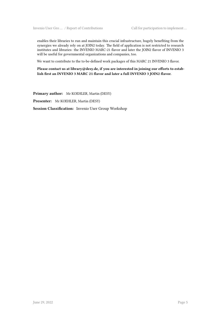enables their libraries to run and maintain this crucial infrastructure, hugely benefiting from the synergies we already rely on at JOIN2 today. The field of application is not restricted to research institutes and libraries: the INVENIO MARC-21 flavor and later the JOIN2 flavor of INVENIO 3 will be useful for governmental organizations and companies, too.

We want to contribute to the to-be-defined work packages of this MARC 21 INVENIO 3 flavor.

**Please contact us at library@desy.de, if you are interested in joining our efforts to establish first an INVENIO 3 MARC 21 flavor and later a full INVENIO 3 JOIN2 flavor.**

**Primary author:** Mr KOEHLER, Martin (DESY)

**Presenter:** Mr KOEHLER, Martin (DESY)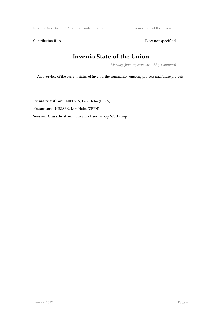Invenio User Gro … / Report of Contributions Invenio State of the Union

Contribution ID: 9 Type: **not specified** 

#### **Invenio State of the Union**

*Monday, June 10, 2019 9:00 AM (15 minutes)*

An overview of the current status of Invenio, the community, ongoing projects and future projects.

**Primary author:** NIELSEN, Lars Holm (CERN) **Presenter:** NIELSEN, Lars Holm (CERN) **Session Classification:** Invenio User Group Workshop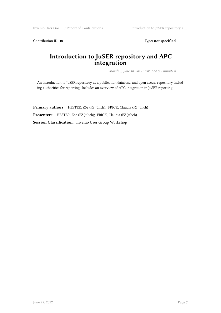Contribution ID: 10 Type: not specified

#### **Introduction to JuSER repository and APC integration**

*Monday, June 10, 2019 10:00 AM (15 minutes)*

An introduction to JuSER repository as a publication database, and open access repository including authorities for reporting. Includes an overview of APC integration in JuSER reporting.

**Primary authors:** HESTER, Zöe (FZ Jülich); FRICK, Claudia (FZ Jülich) **Presenters:** HESTER, Zöe (FZ Jülich); FRICK, Claudia (FZ Jülich) **Session Classification:** Invenio User Group Workshop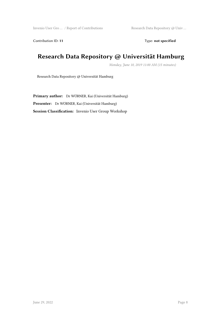Contribution ID: 11 Type: **not specified** 

#### **Research Data Repository @ Universität Hamburg**

*Monday, June 10, 2019 11:00 AM (15 minutes)*

Research Data Repository @ Universität Hamburg

**Primary author:** Dr WÖRNER, Kai (Universität Hamburg) **Presenter:** Dr WÖRNER, Kai (Universität Hamburg) **Session Classification:** Invenio User Group Workshop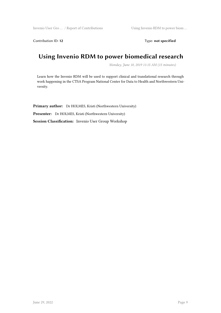Contribution ID: 12 Type: **not specified** 

#### **Using Invenio RDM to power biomedical research**

*Monday, June 10, 2019 11:15 AM (15 minutes)*

Learn how the Invenio RDM will be used to support clinical and translational research through work happening in the CTSA Program National Center for Data to Health and Northwestern University.

**Primary author:** Dr HOLMES, Kristi (Northwestern University) **Presenter:** Dr HOLMES, Kristi (Northwestern University) **Session Classification:** Invenio User Group Workshop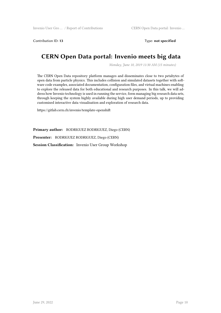Contribution ID: **13** Type: **not specified**

#### **CERN Open Data portal: Invenio meets big data**

*Monday, June 10, 2019 11:30 AM (15 minutes)*

The CERN Open Data repository platform manages and disseminates close to two petabytes of open data from particle physics. This includes collision and simulated datasets together with software code examples, associated documentation, configuration files, and virtual machines enabling to explore the released data for both educational and research purposes. In this talk, we will address how Invenio technology is used in running the service, form managing big research data sets, through keeping the system highly available during high user demand periods, up to providing customised interactive data visualisation and exploration of research data.

https://gitlab.cern.ch/invenio/template-openshift

**Primary author:** RODRIGUEZ RODRIGUEZ, Diego (CERN)

**Presenter:** RODRIGUEZ RODRIGUEZ, Diego (CERN)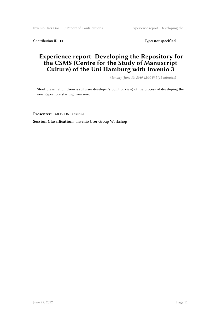Contribution ID: 14 Type: **not specified** 

#### **Experience report: Developing the Repository for the CSMS (Centre for the Study of Manuscript Culture) of the Uni Hamburg with Invenio 3**

*Monday, June 10, 2019 12:00 PM (15 minutes)*

Short presentation (from a software developer's point of view) of the process of developing the new Repository starting from zero.

**Presenter:** MOSSONI, Cristina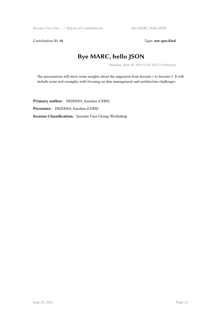Contribution ID: 16 Type: not specified

## **Bye MARC, hello JSON**

*Monday, June 10, 2019 11:45 AM (15 minutes)*

The presentation will show some insights about the migration from Invenio 1 to Invenio 3. It will include some real examples with focusing on data management and architecture challenges.

**Primary author:** PRZERWA, Karolina (CERN) **Presenter:** PRZERWA, Karolina (CERN) **Session Classification:** Invenio User Group Workshop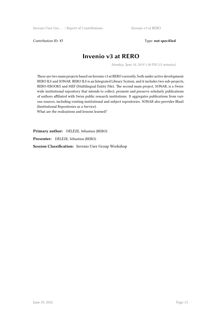Contribution ID: 17 Type: **not specified** 

#### **Invenio v3 at RERO**

*Monday, June 10, 2019 1:30 PM (15 minutes)*

There are two main projects based on Invenio v3 at RERO currently, both under active development: RERO ILS and SONAR. RERO ILS is an Integrated Library System, and it includes two sub-projects, RERO-EBOOKS and MEF (Multilingual Entity File). The second main project, SONAR, is a Swisswide institutional repository that intends to collect, promote and preserve scholarly publications of authors affiliated with Swiss public research institutions. It aggregates publications from various sources, including existing institutional and subject repositories. SONAR also provides IRaaS (Institutional Repositories as a Service).

What are the realizations and lessons learned?

**Primary author:** DÉLÈZE, Sébastien (RERO)

**Presenter:** DÉLÈZE, Sébastien (RERO)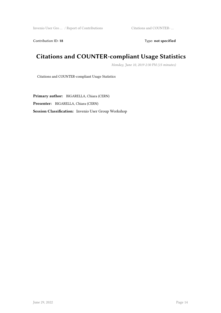Contribution ID: 18 Type: **not specified** 

## **Citations and COUNTER-compliant Usage Statistics**

*Monday, June 10, 2019 2:30 PM (15 minutes)*

Citations and COUNTER-compliant Usage Statistics

**Primary author:** BIGARELLA, Chiara (CERN) **Presenter:** BIGARELLA, Chiara (CERN) **Session Classification:** Invenio User Group Workshop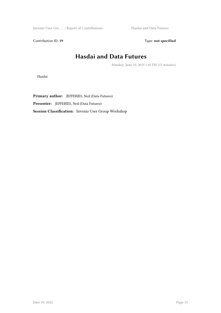Invenio User Gro ... / Report of Contributions Hasdai and Data Futures

Contribution ID: 19 Type: **not specified** 

## **Hasdai and Data Futures**

*Monday, June 10, 2019 1:45 PM (15 minutes)*

Hasdai

**Primary author:** JEFFERIES, Neil (Data Futures) **Presenter:** JEFFERIES, Neil (Data Futures) **Session Classification:** Invenio User Group Workshop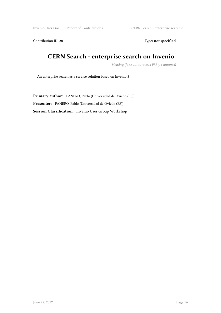Invenio User Gro … / Report of Contributions CERN Search - enterprise search o …

Contribution ID: 20 Type: **not specified** 

#### **CERN Search - enterprise search on Invenio**

*Monday, June 10, 2019 2:15 PM (15 minutes)*

An enterprise search as a service solution based on Invenio 3

**Primary author:** PANERO, Pablo (Universidad de Oviedo (ES)) **Presenter:** PANERO, Pablo (Universidad de Oviedo (ES)) **Session Classification:** Invenio User Group Workshop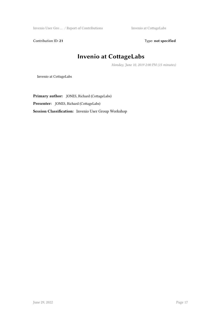Invenio User Gro … / Report of Contributions Invenio at CottageLabs

Contribution ID: 21 Type: **not specified** 

## **Invenio at CottageLabs**

*Monday, June 10, 2019 2:00 PM (15 minutes)*

Invenio at CottageLabs

**Primary author:** JONES, Richard (CottageLabs) **Presenter:** JONES, Richard (CottageLabs) **Session Classification:** Invenio User Group Workshop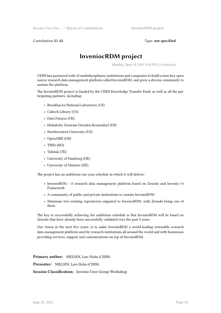Contribution ID: **22** Type: **not specified**

#### **InveniocRDM project**

*Monday, June 10, 2019 3:30 PM (15 minutes)*

CERN has partnered with 10 multidisciplinary institutions and companies to build a turn-key open source research data management platform called InvenioRDM, and grow a diverse community to sustain the platform.

The InvenioRDM project is funded by the CERN Knowledge Transfer Fund, as well as all the participating partners, including:

- Brookhaven National Laboratory (US)
- Caltech Library (US)
- Data Futures (UK)
- Helmholtz Zentrum Dresden-Rossendorf (DE)
- Northwestern University (US)
- OpenAIRE (GR)
- TIND (NO)
- Tubitak (TK)
- University of Hamburg (DE)
- University of Münster (DE)

The project has an ambitious one year schedule in which it will deliver:

- InvenioRDM A research data management platform based on Zenodo and Invenio v3 Framework.
- A community of public and private institutions to sustain InvenioRDM.
- Minimum two existing repositories migrated to InvenioRDM, with Zenodo being one of them.

The key to successfully achieving the ambitious schedule is that InvenioRDM will be based on Zenodo that have already been successfully validated over the past 5 years.

Our vision in the next five years, is to make InvenioRDM a world-leading extensible research data management platform used by research institutions all around the world and with businesses providing services, support and customizations on top of InvenioRDM.

**Primary author:** NIELSEN, Lars Holm (CERN)

**Presenter:** NIELSEN, Lars Holm (CERN)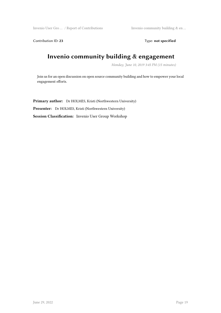Invenio User Gro … / Report of Contributions Invenio community building & en …

Contribution ID: 23 Type: **not specified** 

## **Invenio community building & engagement**

*Monday, June 10, 2019 3:45 PM (15 minutes)*

Join us for an open discussion on open source community building and how to empower your local engagement efforts.

**Primary author:** Dr HOLMES, Kristi (Northwestern University) **Presenter:** Dr HOLMES, Kristi (Northwestern University) **Session Classification:** Invenio User Group Workshop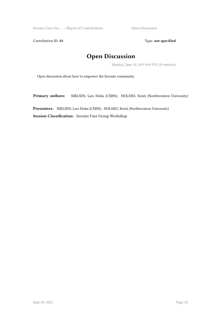Invenio User Gro ... / Report of Contributions Open Discussion

Contribution ID: 24 Type: **not specified** 

## **Open Discussion**

*Monday, June 10, 2019 4:00 PM (50 minutes)*

Open discussion about how to empower the Invenio community.

Primary authors: NIELSEN, Lars Holm (CERN); HOLMES, Kristi (Northwestern University)

**Presenters:** NIELSEN, Lars Holm (CERN); HOLMES, Kristi (Northwestern University) **Session Classification:** Invenio User Group Workshop